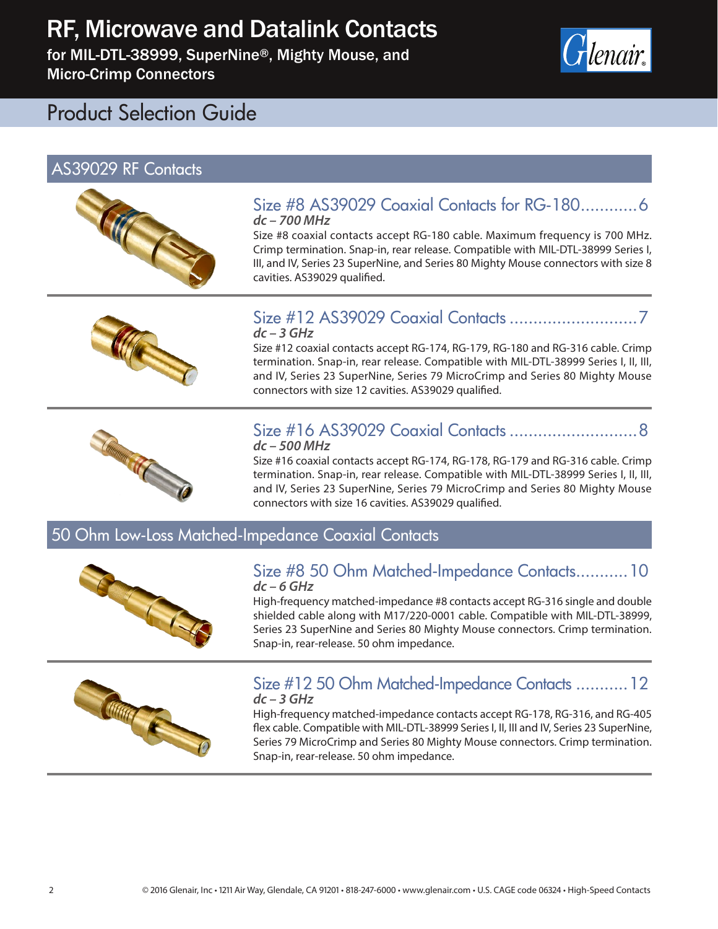for MIL-DTL-38999, SuperNine®, Mighty Mouse, and Micro-Crimp Connectors



# Product Selection Guide

# AS39029 RF Contacts



#### Size #8 AS39029 Coaxial Contacts for RG-180............6 *dc – 700 MHz*

Size #8 coaxial contacts accept RG-180 cable. Maximum frequency is 700 MHz. Crimp termination. Snap-in, rear release. Compatible with MIL-DTL-38999 Series I, III, and IV, Series 23 SuperNine, and Series 80 Mighty Mouse connectors with size 8 cavities. AS39029 qualified.



#### Size #12 AS39029 Coaxial Contacts ...........................7 *dc – 3 GHz*

Size #12 coaxial contacts accept RG-174, RG-179, RG-180 and RG-316 cable. Crimp termination. Snap-in, rear release. Compatible with MIL-DTL-38999 Series I, II, III, and IV, Series 23 SuperNine, Series 79 MicroCrimp and Series 80 Mighty Mouse connectors with size 12 cavities. AS39029 qualified.



#### Size #16 AS39029 Coaxial Contacts ...........................8 *dc – 500 MHz*

Size #16 coaxial contacts accept RG-174, RG-178, RG-179 and RG-316 cable. Crimp termination. Snap-in, rear release. Compatible with MIL-DTL-38999 Series I, II, III, and IV, Series 23 SuperNine, Series 79 MicroCrimp and Series 80 Mighty Mouse connectors with size 16 cavities. AS39029 qualified.

### 50 Ohm Low-Loss Matched-Impedance Coaxial Contacts



#### Size #8 50 Ohm Matched-Impedance Contacts...........10 *dc – 6 GHz*

High-frequency matched-impedance #8 contacts accept RG-316 single and double shielded cable along with M17/220-0001 cable. Compatible with MIL-DTL-38999, Series 23 SuperNine and Series 80 Mighty Mouse connectors. Crimp termination. Snap-in, rear-release. 50 ohm impedance.



#### Size #12 50 Ohm Matched-Impedance Contacts ...........12 *dc – 3 GHz*

High-frequency matched-impedance contacts accept RG-178, RG-316, and RG-405 flex cable. Compatible with MIL-DTL-38999 Series I, II, III and IV, Series 23 SuperNine, Series 79 MicroCrimp and Series 80 Mighty Mouse connectors. Crimp termination. Snap-in, rear-release. 50 ohm impedance.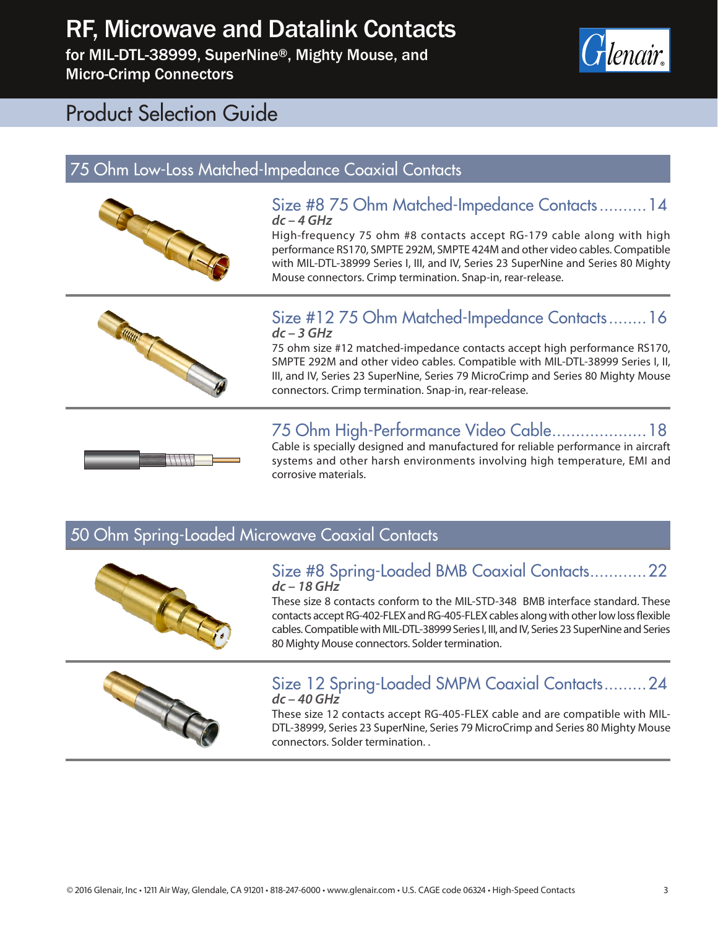for MIL-DTL-38999, SuperNine®, Mighty Mouse, and Micro-Crimp Connectors



# Product Selection Guide

## 75 Ohm Low-Loss Matched-Impedance Coaxial Contacts



#### Size #8 75 Ohm Matched-Impedance Contacts..........14 *dc – 4 GHz*

High-frequency 75 ohm #8 contacts accept RG-179 cable along with high performance RS170, SMPTE 292M, SMPTE 424M and other video cables. Compatible with MIL-DTL-38999 Series I, III, and IV, Series 23 SuperNine and Series 80 Mighty Mouse connectors. Crimp termination. Snap-in, rear-release.



#### Size #12 75 Ohm Matched-Impedance Contacts........16 *dc – 3 GHz*

75 ohm size #12 matched-impedance contacts accept high performance RS170, SMPTE 292M and other video cables. Compatible with MIL-DTL-38999 Series I, II, III, and IV, Series 23 SuperNine, Series 79 MicroCrimp and Series 80 Mighty Mouse connectors. Crimp termination. Snap-in, rear-release.

## 75 Ohm High-Performance Video Cable....................18



Cable is specially designed and manufactured for reliable performance in aircraft systems and other harsh environments involving high temperature, EMI and corrosive materials.

## 50 Ohm Spring-Loaded Microwave Coaxial Contacts



#### Size #8 Spring-Loaded BMB Coaxial Contacts............22 *dc – 18 GHz*

These size 8 contacts conform to the MIL-STD-348 BMB interface standard. These contacts accept RG-402-FLEX and RG-405-FLEX cables along with other low loss flexible cables. Compatible with MIL-DTL-38999 Series I, III, and IV, Series 23 SuperNine and Series 80 Mighty Mouse connectors. Solder termination.



#### Size 12 Spring-Loaded SMPM Coaxial Contacts.........24 *dc – 40 GHz*

These size 12 contacts accept RG-405-FLEX cable and are compatible with MIL-DTL-38999, Series 23 SuperNine, Series 79 MicroCrimp and Series 80 Mighty Mouse connectors. Solder termination. .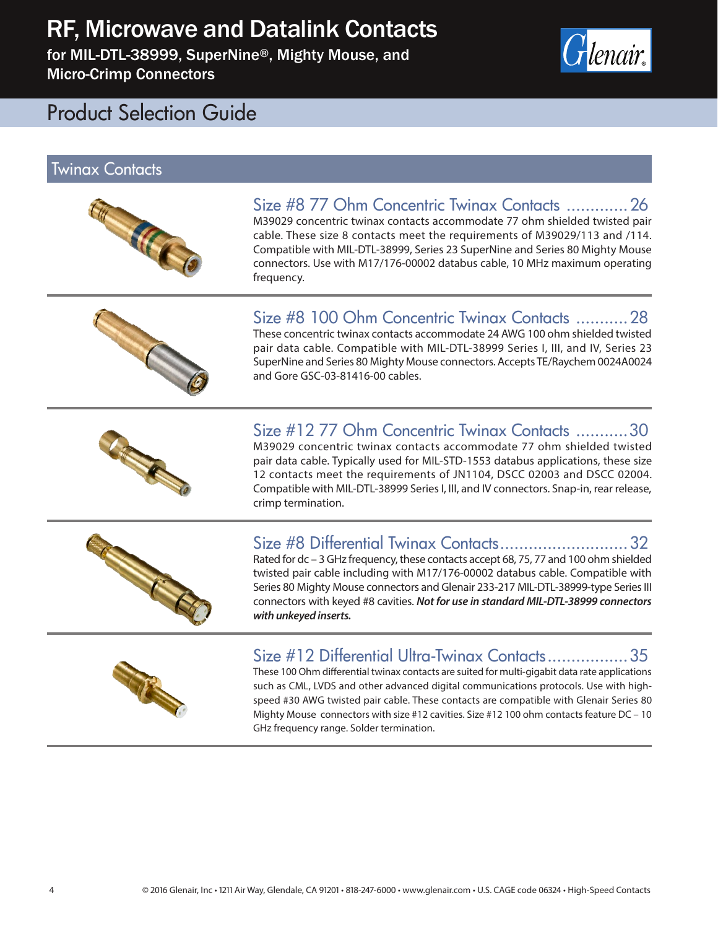for MIL-DTL-38999, SuperNine®, Mighty Mouse, and Micro-Crimp Connectors



# Product Selection Guide

#### Twinax Contacts



#### Size #8 77 Ohm Concentric Twinax Contacts .............26 M39029 concentric twinax contacts accommodate 77 ohm shielded twisted pair cable. These size 8 contacts meet the requirements of M39029/113 and /114. Compatible with MIL-DTL-38999, Series 23 SuperNine and Series 80 Mighty Mouse



# connectors. Use with M17/176-00002 databus cable, 10 MHz maximum operating frequency. Size #8 100 Ohm Concentric Twinax Contacts ...........28

These concentric twinax contacts accommodate 24 AWG 100 ohm shielded twisted pair data cable. Compatible with MIL-DTL-38999 Series I, III, and IV, Series 23 SuperNine and Series 80 Mighty Mouse connectors. Accepts TE/Raychem 0024A0024 and Gore GSC-03-81416-00 cables.

#### Size #12 77 Ohm Concentric Twinax Contacts ...........30 M39029 concentric twinax contacts accommodate 77 ohm shielded twisted

pair data cable. Typically used for MIL-STD-1553 databus applications, these size 12 contacts meet the requirements of JN1104, DSCC 02003 and DSCC 02004. Compatible with MIL-DTL-38999 Series I, III, and IV connectors. Snap-in, rear release, crimp termination.



## Size #8 Differential Twinax Contacts...........................32

Rated for dc – 3 GHz frequency, these contacts accept 68, 75, 77 and 100 ohm shielded twisted pair cable including with M17/176-00002 databus cable. Compatible with Series 80 Mighty Mouse connectors and Glenair 233-217 MIL-DTL-38999-type Series III connectors with keyed #8 cavities. *Not for use in standard MIL-DTL-38999 connectors with unkeyed inserts.*



## Size #12 Differential Ultra-Twinax Contacts.................35

These 100 Ohm differential twinax contacts are suited for multi-gigabit data rate applications such as CML, LVDS and other advanced digital communications protocols. Use with highspeed #30 AWG twisted pair cable. These contacts are compatible with Glenair Series 80 Mighty Mouse connectors with size #12 cavities. Size #12 100 ohm contacts feature DC – 10 GHz frequency range. Solder termination.